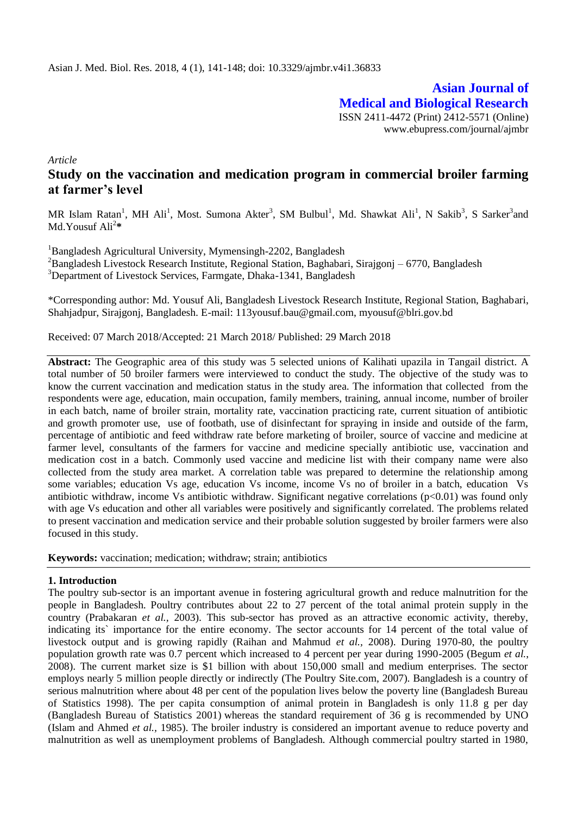**Asian Journal of Medical and Biological Research** ISSN 2411-4472 (Print) 2412-5571 (Online) www.ebupress.com/journal/ajmbr

*Article*

# **Study on the vaccination and medication program in commercial broiler farming at farmer's level**

MR Islam Ratan<sup>1</sup>, MH Ali<sup>1</sup>, Most. Sumona Akter<sup>3</sup>, SM Bulbul<sup>1</sup>, Md. Shawkat Ali<sup>1</sup>, N Sakib<sup>3</sup>, S Sarker<sup>3</sup>and Md.Yousuf Ali<sup>2</sup> **\***

<sup>1</sup>Bangladesh Agricultural University, Mymensingh-2202, Bangladesh  ${}^{2}$ Bangladesh Livestock Research Institute, Regional Station, Baghabari, Sirajgonj – 6770, Bangladesh <sup>3</sup>Department of Livestock Services, Farmgate, Dhaka-1341, Bangladesh

\*Corresponding author: Md. Yousuf Ali, Bangladesh Livestock Research Institute, Regional Station, Baghabari, Shahjadpur, Sirajgonj, Bangladesh. E-mail: 113yousuf.bau@gmail.com, myousuf@blri.gov.bd

Received: 07 March 2018/Accepted: 21 March 2018/ Published: 29 March 2018

**Abstract:** The Geographic area of this study was 5 selected unions of Kalihati upazila in Tangail district. A total number of 50 broiler farmers were interviewed to conduct the study. The objective of the study was to know the current vaccination and medication status in the study area. The information that collected from the respondents were age, education, main occupation, family members, training, annual income, number of broiler in each batch, name of broiler strain, mortality rate, vaccination practicing rate, current situation of antibiotic and growth promoter use, use of footbath, use of disinfectant for spraying in inside and outside of the farm, percentage of antibiotic and feed withdraw rate before marketing of broiler, source of vaccine and medicine at farmer level, consultants of the farmers for vaccine and medicine specially antibiotic use, vaccination and medication cost in a batch. Commonly used vaccine and medicine list with their company name were also collected from the study area market. A correlation table was prepared to determine the relationship among some variables; education Vs age, education Vs income, income Vs no of broiler in a batch, education Vs antibiotic withdraw, income Vs antibiotic withdraw. Significant negative correlations (p<0.01) was found only with age Vs education and other all variables were positively and significantly correlated. The problems related to present vaccination and medication service and their probable solution suggested by broiler farmers were also focused in this study.

**Keywords:** vaccination; medication; withdraw; strain; antibiotics

#### **1. Introduction**

The poultry sub-sector is an important avenue in fostering agricultural growth and reduce malnutrition for the people in Bangladesh. Poultry contributes about 22 to 27 percent of the total animal protein supply in the country (Prabakaran *et al.,* 2003). This sub-sector has proved as an attractive economic activity, thereby, indicating its` importance for the entire economy. The sector accounts for 14 percent of the total value of livestock output and is growing rapidly (Raihan and Mahmud *et al.,* 2008). During 1970-80, the poultry population growth rate was 0.7 percent which increased to 4 percent per year during 1990-2005 (Begum *et al.*, 2008). The current market size is \$1 billion with about 150,000 small and medium enterprises. The sector employs nearly 5 million people directly or indirectly (The Poultry Site.com, 2007). Bangladesh is a country of serious malnutrition where about 48 per cent of the population lives below the poverty line (Bangladesh Bureau of Statistics 1998). The per capita consumption of animal protein in Bangladesh is only 11.8 g per day (Bangladesh Bureau of Statistics 2001) whereas the standard requirement of 36 g is recommended by UNO (Islam and Ahmed *et al.,* 1985). The broiler industry is considered an important avenue to reduce poverty and malnutrition as well as unemployment problems of Bangladesh. Although commercial poultry started in 1980,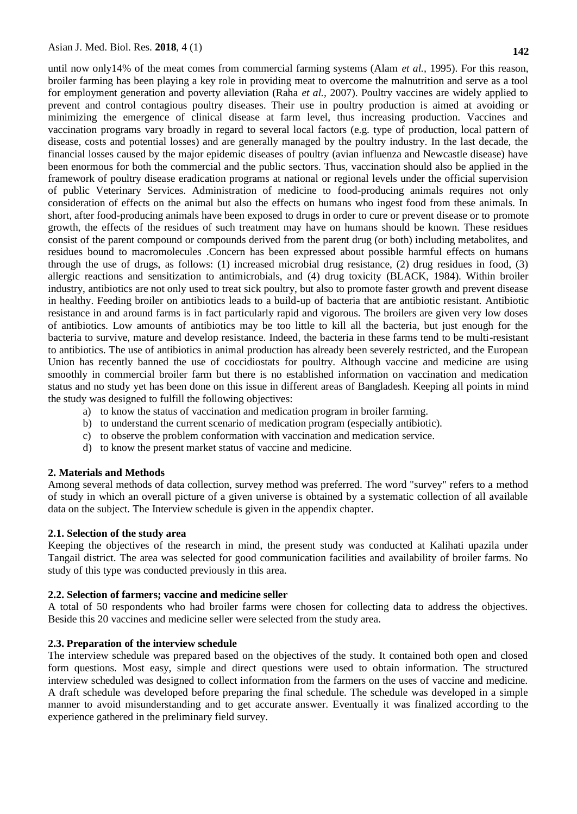until now only14% of the meat comes from commercial farming systems (Alam *et al.,* 1995). For this reason, broiler farming has been playing a key role in providing meat to overcome the malnutrition and serve as a tool for employment generation and poverty alleviation (Raha *et al.,* 2007). Poultry vaccines are widely applied to prevent and control contagious poultry diseases. Their use in poultry production is aimed at avoiding or minimizing the emergence of clinical disease at farm level, thus increasing production. Vaccines and vaccination programs vary broadly in regard to several local factors (e.g. type of production, local pattern of disease, costs and potential losses) and are generally managed by the poultry industry. In the last decade, the financial losses caused by the major epidemic diseases of poultry (avian influenza and Newcastle disease) have been enormous for both the commercial and the public sectors. Thus, vaccination should also be applied in the framework of poultry disease eradication programs at national or regional levels under the official supervision of public Veterinary Services. Administration of medicine to food-producing animals requires not only consideration of effects on the animal but also the effects on humans who ingest food from these animals. In short, after food-producing animals have been exposed to drugs in order to cure or prevent disease or to promote growth, the effects of the residues of such treatment may have on humans should be known. These residues consist of the parent compound or compounds derived from the parent drug (or both) including metabolites, and residues bound to macromolecules .Concern has been expressed about possible harmful effects on humans through the use of drugs, as follows: (1) increased microbial drug resistance, (2) drug residues in food, (3) allergic reactions and sensitization to antimicrobials, and (4) drug toxicity (BLACK, 1984). Within broiler industry, antibiotics are not only used to treat sick poultry, but also to promote faster growth and prevent disease in healthy. Feeding broiler on antibiotics leads to a build-up of bacteria that are antibiotic resistant. Antibiotic resistance in and around farms is in fact particularly rapid and vigorous. The broilers are given very low doses of antibiotics. Low amounts of antibiotics may be too little to kill all the bacteria, but just enough for the bacteria to survive, mature and develop resistance. Indeed, the bacteria in these farms tend to be multi-resistant to antibiotics. The use of antibiotics in animal production has already been severely restricted, and the European Union has recently banned the use of coccidiostats for poultry. Although vaccine and medicine are using smoothly in commercial broiler farm but there is no established information on vaccination and medication status and no study yet has been done on this issue in different areas of Bangladesh. Keeping all points in mind the study was designed to fulfill the following objectives:

- a) to know the status of vaccination and medication program in broiler farming.
- b) to understand the current scenario of medication program (especially antibiotic).
- c) to observe the problem conformation with vaccination and medication service.
- d) to know the present market status of vaccine and medicine.

#### **2. Materials and Methods**

Among several methods of data collection, survey method was preferred. The word "survey" refers to a method of study in which an overall picture of a given universe is obtained by a systematic collection of all available data on the subject. The Interview schedule is given in the appendix chapter.

#### **2.1. Selection of the study area**

Keeping the objectives of the research in mind, the present study was conducted at Kalihati upazila under Tangail district. The area was selected for good communication facilities and availability of broiler farms. No study of this type was conducted previously in this area.

#### **2.2. Selection of farmers; vaccine and medicine seller**

A total of 50 respondents who had broiler farms were chosen for collecting data to address the objectives. Beside this 20 vaccines and medicine seller were selected from the study area.

#### **2.3. Preparation of the interview schedule**

The interview schedule was prepared based on the objectives of the study. It contained both open and closed form questions. Most easy, simple and direct questions were used to obtain information. The structured interview scheduled was designed to collect information from the farmers on the uses of vaccine and medicine. A draft schedule was developed before preparing the final schedule. The schedule was developed in a simple manner to avoid misunderstanding and to get accurate answer. Eventually it was finalized according to the experience gathered in the preliminary field survey.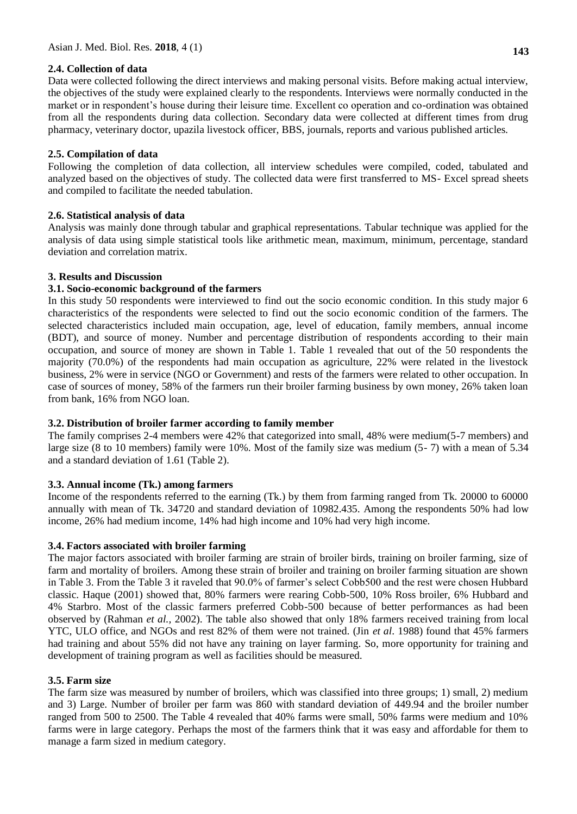## **2.4. Collection of data**

Data were collected following the direct interviews and making personal visits. Before making actual interview, the objectives of the study were explained clearly to the respondents. Interviews were normally conducted in the market or in respondent's house during their leisure time. Excellent co operation and co-ordination was obtained from all the respondents during data collection. Secondary data were collected at different times from drug pharmacy, veterinary doctor, upazila livestock officer, BBS, journals, reports and various published articles.

## **2.5. Compilation of data**

Following the completion of data collection, all interview schedules were compiled, coded, tabulated and analyzed based on the objectives of study. The collected data were first transferred to MS- Excel spread sheets and compiled to facilitate the needed tabulation.

## **2.6. Statistical analysis of data**

Analysis was mainly done through tabular and graphical representations. Tabular technique was applied for the analysis of data using simple statistical tools like arithmetic mean, maximum, minimum, percentage, standard deviation and correlation matrix.

## **3. Results and Discussion**

## **3.1. Socio-economic background of the farmers**

In this study 50 respondents were interviewed to find out the socio economic condition. In this study major 6 characteristics of the respondents were selected to find out the socio economic condition of the farmers. The selected characteristics included main occupation, age, level of education, family members, annual income (BDT), and source of money. Number and percentage distribution of respondents according to their main occupation, and source of money are shown in Table 1. Table 1 revealed that out of the 50 respondents the majority (70.0%) of the respondents had main occupation as agriculture, 22% were related in the livestock business, 2% were in service (NGO or Government) and rests of the farmers were related to other occupation. In case of sources of money, 58% of the farmers run their broiler farming business by own money, 26% taken loan from bank, 16% from NGO loan.

#### **3.2. Distribution of broiler farmer according to family member**

The family comprises 2-4 members were 42% that categorized into small, 48% were medium(5-7 members) and large size (8 to 10 members) family were 10%. Most of the family size was medium (5- 7) with a mean of 5.34 and a standard deviation of 1.61 (Table 2).

# **3.3. Annual income (Tk.) among farmers**

Income of the respondents referred to the earning (Tk.) by them from farming ranged from Tk. 20000 to 60000 annually with mean of Tk. 34720 and standard deviation of 10982.435. Among the respondents 50% had low income, 26% had medium income, 14% had high income and 10% had very high income.

#### **3.4. Factors associated with broiler farming**

The major factors associated with broiler farming are strain of broiler birds, training on broiler farming, size of farm and mortality of broilers. Among these strain of broiler and training on broiler farming situation are shown in Table 3. From the Table 3 it raveled that 90.0% of farmer's select Cobb500 and the rest were chosen Hubbard classic. Haque (2001) showed that, 80% farmers were rearing Cobb-500, 10% Ross broiler, 6% Hubbard and 4% Starbro. Most of the classic farmers preferred Cobb-500 because of better performances as had been observed by (Rahman *et al.,* 2002). The table also showed that only 18% farmers received training from local YTC, ULO office, and NGOs and rest 82% of them were not trained. (Jin *et al*. 1988) found that 45% farmers had training and about 55% did not have any training on layer farming. So, more opportunity for training and development of training program as well as facilities should be measured.

#### **3.5. Farm size**

The farm size was measured by number of broilers, which was classified into three groups; 1) small, 2) medium and 3) Large. Number of broiler per farm was 860 with standard deviation of 449.94 and the broiler number ranged from 500 to 2500. The Table 4 revealed that 40% farms were small, 50% farms were medium and 10% farms were in large category. Perhaps the most of the farmers think that it was easy and affordable for them to manage a farm sized in medium category.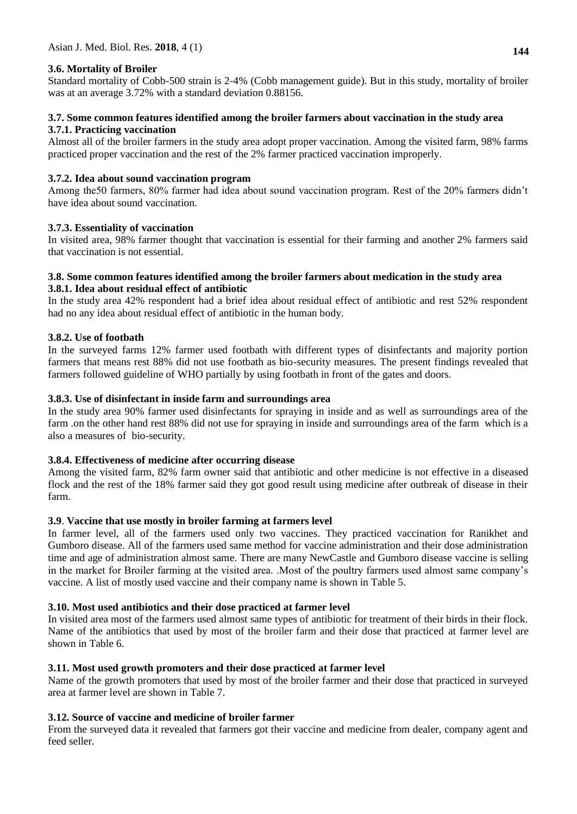## **3.6. Mortality of Broiler**

Standard mortality of Cobb-500 strain is 2-4% (Cobb management guide). But in this study, mortality of broiler was at an average 3.72% with a standard deviation 0.88156.

#### **3.7. Some common features identified among the broiler farmers about vaccination in the study area 3.7.1. Practicing vaccination**

Almost all of the broiler farmers in the study area adopt proper vaccination. Among the visited farm, 98% farms practiced proper vaccination and the rest of the 2% farmer practiced vaccination improperly.

## **3.7.2. Idea about sound vaccination program**

Among the50 farmers, 80% farmer had idea about sound vaccination program. Rest of the 20% farmers didn't have idea about sound vaccination.

## **3.7.3. Essentiality of vaccination**

In visited area, 98% farmer thought that vaccination is essential for their farming and another 2% farmers said that vaccination is not essential.

#### **3.8. Some common features identified among the broiler farmers about medication in the study area 3.8.1. Idea about residual effect of antibiotic**

In the study area 42% respondent had a brief idea about residual effect of antibiotic and rest 52% respondent had no any idea about residual effect of antibiotic in the human body.

#### **3.8.2. Use of footbath**

In the surveyed farms 12% farmer used footbath with different types of disinfectants and majority portion farmers that means rest 88% did not use footbath as bio-security measures. The present findings revealed that farmers followed guideline of WHO partially by using footbath in front of the gates and doors.

## **3.8.3. Use of disinfectant in inside farm and surroundings area**

In the study area 90% farmer used disinfectants for spraying in inside and as well as surroundings area of the farm .on the other hand rest 88% did not use for spraying in inside and surroundings area of the farm which is a also a measures of bio-security.

#### **3.8.4. Effectiveness of medicine after occurring disease**

Among the visited farm, 82% farm owner said that antibiotic and other medicine is not effective in a diseased flock and the rest of the 18% farmer said they got good result using medicine after outbreak of disease in their farm.

#### **3.9**. **Vaccine that use mostly in broiler farming at farmers level**

In farmer level, all of the farmers used only two vaccines. They practiced vaccination for Ranikhet and Gumboro disease. All of the farmers used same method for vaccine administration and their dose administration time and age of administration almost same. There are many NewCastle and Gumboro disease vaccine is selling in the market for Broiler farming at the visited area. .Most of the poultry farmers used almost same company's vaccine. A list of mostly used vaccine and their company name is shown in Table 5.

#### **3.10. Most used antibiotics and their dose practiced at farmer level**

In visited area most of the farmers used almost same types of antibiotic for treatment of their birds in their flock. Name of the antibiotics that used by most of the broiler farm and their dose that practiced at farmer level are shown in Table 6.

#### **3.11. Most used growth promoters and their dose practiced at farmer level**

Name of the growth promoters that used by most of the broiler farmer and their dose that practiced in surveyed area at farmer level are shown in Table 7.

# **3.12. Source of vaccine and medicine of broiler farmer**

From the surveyed data it revealed that farmers got their vaccine and medicine from dealer, company agent and feed seller.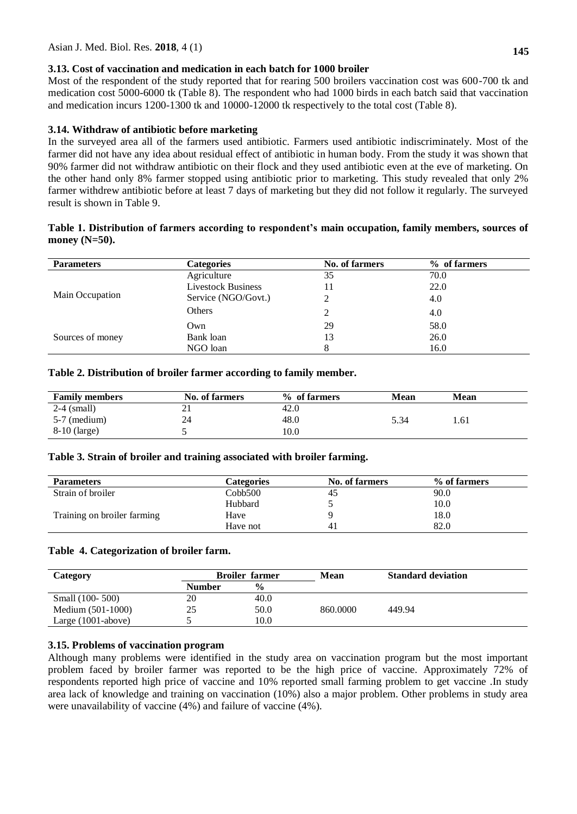#### **3.13. Cost of vaccination and medication in each batch for 1000 broiler**

Most of the respondent of the study reported that for rearing 500 broilers vaccination cost was 600-700 tk and medication cost 5000-6000 tk (Table 8). The respondent who had 1000 birds in each batch said that vaccination and medication incurs 1200-1300 tk and 10000-12000 tk respectively to the total cost (Table 8).

## **3.14. Withdraw of antibiotic before marketing**

In the surveyed area all of the farmers used antibiotic. Farmers used antibiotic indiscriminately. Most of the farmer did not have any idea about residual effect of antibiotic in human body. From the study it was shown that 90% farmer did not withdraw antibiotic on their flock and they used antibiotic even at the eve of marketing. On the other hand only 8% farmer stopped using antibiotic prior to marketing. This study revealed that only 2% farmer withdrew antibiotic before at least 7 days of marketing but they did not follow it regularly. The surveyed result is shown in Table 9.

#### **Table 1. Distribution of farmers according to respondent's main occupation, family members, sources of money (N=50).**

| <b>Parameters</b> | <b>Categories</b>         | No. of farmers | % of farmers |
|-------------------|---------------------------|----------------|--------------|
|                   | Agriculture               | 35             | 70.0         |
|                   | <b>Livestock Business</b> | 11             | 22.0         |
| Main Occupation   | Service (NGO/Govt.)       |                | 4.0          |
|                   | Others                    |                | 4.0          |
|                   | Own                       | 29             | 58.0         |
| Sources of money  | Bank loan                 | 13             | 26.0         |
|                   | NGO loan                  | 8              | 16.0         |

#### **Table 2. Distribution of broiler farmer according to family member.**

| <b>Family members</b> | No. of farmers | % of farmers | Mean | <b>Mean</b> |
|-----------------------|----------------|--------------|------|-------------|
| $2-4$ (small)         | ∠ ⊥            | 42.0         |      |             |
| $5-7$ (medium)        | 24             | 48.0         | 5.34 | 1.61        |
| $8-10$ (large)        |                | 10.0         |      |             |

#### **Table 3. Strain of broiler and training associated with broiler farming.**

| <b>Parameters</b>           | <b>Categories</b> | <b>No. of farmers</b> | % of farmers |
|-----------------------------|-------------------|-----------------------|--------------|
| Strain of broiler           | Cobb500           | 45                    | 90.0         |
|                             | Hubbard           |                       | 10.0         |
| Training on broiler farming | Have              |                       | 18.0         |
|                             | Have not          | 41                    | 82.0         |

#### **Table 4. Categorization of broiler farm.**

| Category              |               | <b>Broiler farmer</b> | Mean     | <b>Standard deviation</b> |
|-----------------------|---------------|-----------------------|----------|---------------------------|
|                       | <b>Number</b> | $\frac{0}{0}$         |          |                           |
| Small (100- 500)      | 20            | 40.0                  |          |                           |
| Medium (501-1000)     | 25            | 50.0                  | 860,0000 | 449.94                    |
| Large $(1001$ -above) |               | 10.0                  |          |                           |

#### **3.15. Problems of vaccination program**

Although many problems were identified in the study area on vaccination program but the most important problem faced by broiler farmer was reported to be the high price of vaccine. Approximately 72% of respondents reported high price of vaccine and 10% reported small farming problem to get vaccine .In study area lack of knowledge and training on vaccination (10%) also a major problem. Other problems in study area were unavailability of vaccine (4%) and failure of vaccine (4%).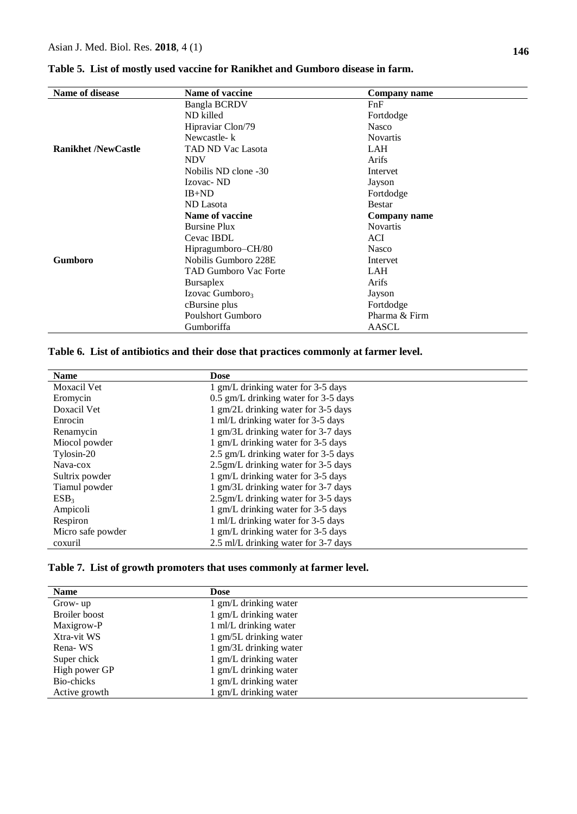| Name of disease            | Name of vaccine              | <b>Company name</b> |
|----------------------------|------------------------------|---------------------|
|                            | <b>Bangla BCRDV</b>          | FnF                 |
|                            | ND killed                    | Fortdodge           |
|                            | Hipraviar Clon/79            | <b>Nasco</b>        |
|                            | Newcastle-k                  | <b>Novartis</b>     |
| <b>Ranikhet /NewCastle</b> | <b>TAD ND Vac Lasota</b>     | <b>LAH</b>          |
|                            | <b>NDV</b>                   | Arifs               |
|                            | Nobilis ND clone -30         | Intervet            |
|                            | Izovac-ND                    | Jayson              |
|                            | $IB+ND$                      | Fortdodge           |
|                            | ND Lasota                    | <b>Bestar</b>       |
|                            | Name of vaccine              | Company name        |
|                            | <b>Bursine Plux</b>          | <b>Novartis</b>     |
|                            | Cevac IBDL                   | <b>ACI</b>          |
|                            | Hipragumboro-CH/80           | <b>Nasco</b>        |
| <b>Gumboro</b>             | Nobilis Gumboro 228E         | Intervet            |
|                            | <b>TAD Gumboro Vac Forte</b> | <b>LAH</b>          |
|                            | Bursaplex                    | Arifs               |
|                            | Izovac Gumboro <sub>3</sub>  | Jayson              |
|                            | cBursine plus                | Fortdodge           |
|                            | <b>Poulshort Gumboro</b>     | Pharma & Firm       |
|                            | Gumboriffa                   | AASCL               |

**Table 5. List of mostly used vaccine for Ranikhet and Gumboro disease in farm.**

# **Table 6. List of antibiotics and their dose that practices commonly at farmer level.**

| <b>Name</b>        | <b>Dose</b>                          |
|--------------------|--------------------------------------|
| <b>Moxacil Vet</b> | 1 gm/L drinking water for 3-5 days   |
| Eromycin           | 0.5 gm/L drinking water for 3-5 days |
| Doxacil Vet        | 1 gm/2L drinking water for 3-5 days  |
| Enrocin            | 1 ml/L drinking water for 3-5 days   |
| Renamycin          | 1 gm/3L drinking water for 3-7 days  |
| Miocol powder      | 1 gm/L drinking water for 3-5 days   |
| Tylosin-20         | 2.5 gm/L drinking water for 3-5 days |
| Nava-cox           | 2.5gm/L drinking water for 3-5 days  |
| Sultrix powder     | 1 gm/L drinking water for 3-5 days   |
| Tiamul powder      | 1 gm/3L drinking water for 3-7 days  |
| ESB <sub>3</sub>   | 2.5gm/L drinking water for 3-5 days  |
| Ampicoli           | 1 gm/L drinking water for 3-5 days   |
| Respiron           | 1 ml/L drinking water for 3-5 days   |
| Micro safe powder  | 1 gm/L drinking water for 3-5 days   |
| coxuril            | 2.5 ml/L drinking water for 3-7 days |

## **Table 7. List of growth promoters that uses commonly at farmer level.**

| <b>Name</b>   | <b>Dose</b>            |
|---------------|------------------------|
| Grow-up       | 1 gm/L drinking water  |
| Broiler boost | 1 gm/L drinking water  |
| Maxigrow-P    | 1 ml/L drinking water  |
| Xtra-vit WS   | 1 gm/5L drinking water |
| Rena-WS       | 1 gm/3L drinking water |
| Super chick   | 1 gm/L drinking water  |
| High power GP | 1 gm/L drinking water  |
| Bio-chicks    | 1 gm/L drinking water  |
| Active growth | gm/L drinking water    |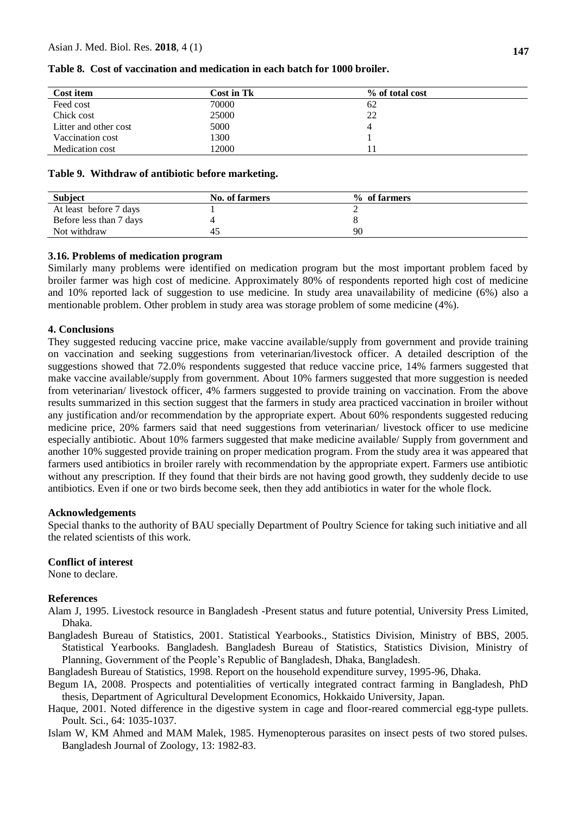| Cost item             | <b>Cost in Tk</b> | % of total cost |
|-----------------------|-------------------|-----------------|
| Feed cost             | 70000             | 62              |
| Chick cost            | 25000             | 22              |
| Litter and other cost | 5000              | 4               |
| Vaccination cost      | 1300              |                 |
| Medication cost       | 2000              |                 |

#### **Table 8. Cost of vaccination and medication in each batch for 1000 broiler.**

#### **Table 9. Withdraw of antibiotic before marketing.**

| <b>Subject</b>          | No. of farmers | % of farmers |  |
|-------------------------|----------------|--------------|--|
| At least before 7 days  |                |              |  |
| Before less than 7 days |                |              |  |
| Not withdraw            | 45             | 90           |  |

#### **3.16. Problems of medication program**

Similarly many problems were identified on medication program but the most important problem faced by broiler farmer was high cost of medicine. Approximately 80% of respondents reported high cost of medicine and 10% reported lack of suggestion to use medicine. In study area unavailability of medicine (6%) also a mentionable problem. Other problem in study area was storage problem of some medicine (4%).

#### **4. Conclusions**

They suggested reducing vaccine price, make vaccine available/supply from government and provide training on vaccination and seeking suggestions from veterinarian/livestock officer. A detailed description of the suggestions showed that 72.0% respondents suggested that reduce vaccine price, 14% farmers suggested that make vaccine available/supply from government. About 10% farmers suggested that more suggestion is needed from veterinarian/ livestock officer, 4% farmers suggested to provide training on vaccination. From the above results summarized in this section suggest that the farmers in study area practiced vaccination in broiler without any justification and/or recommendation by the appropriate expert. About 60% respondents suggested reducing medicine price, 20% farmers said that need suggestions from veterinarian/ livestock officer to use medicine especially antibiotic. About 10% farmers suggested that make medicine available/ Supply from government and another 10% suggested provide training on proper medication program. From the study area it was appeared that farmers used antibiotics in broiler rarely with recommendation by the appropriate expert. Farmers use antibiotic without any prescription. If they found that their birds are not having good growth, they suddenly decide to use antibiotics. Even if one or two birds become seek, then they add antibiotics in water for the whole flock.

#### **Acknowledgements**

Special thanks to the authority of BAU specially Department of Poultry Science for taking such initiative and all the related scientists of this work.

#### **Conflict of interest**

None to declare.

#### **References**

- Alam J, 1995. Livestock resource in Bangladesh -Present status and future potential, University Press Limited, Dhaka.
- Bangladesh Bureau of Statistics, 2001. Statistical Yearbooks., Statistics Division, Ministry of BBS, 2005. Statistical Yearbooks. Bangladesh. Bangladesh Bureau of Statistics, Statistics Division, Ministry of Planning, Government of the People's Republic of Bangladesh, Dhaka, Bangladesh.
- Bangladesh Bureau of Statistics, 1998. Report on the household expenditure survey, 1995-96, Dhaka.
- Begum IA, 2008. Prospects and potentialities of vertically integrated contract farming in Bangladesh, PhD thesis, Department of Agricultural Development Economics, Hokkaido University, Japan.
- Haque, 2001. Noted difference in the digestive system in cage and floor-reared commercial egg-type pullets. Poult. Sci., 64: 1035-1037.
- Islam W, KM Ahmed and MAM Malek, 1985. Hymenopterous parasites on insect pests of two stored pulses. Bangladesh Journal of Zoology, 13: 1982-83.